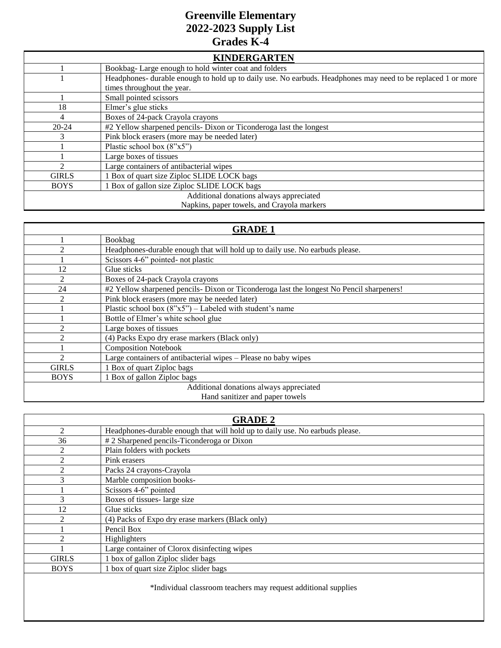## **Greenville Elementary 2022-2023 Supply List Grades K-4**

| <b>KINDERGARTEN</b>                     |                                                                                                              |  |
|-----------------------------------------|--------------------------------------------------------------------------------------------------------------|--|
|                                         | Bookbag-Large enough to hold winter coat and folders                                                         |  |
|                                         | Headphones- durable enough to hold up to daily use. No earbuds. Headphones may need to be replaced 1 or more |  |
|                                         | times throughout the year.                                                                                   |  |
|                                         | Small pointed scissors                                                                                       |  |
| 18                                      | Elmer's glue sticks                                                                                          |  |
| 4                                       | Boxes of 24-pack Crayola crayons                                                                             |  |
| $20 - 24$                               | #2 Yellow sharpened pencils- Dixon or Ticonderoga last the longest                                           |  |
| 3                                       | Pink block erasers (more may be needed later)                                                                |  |
|                                         | Plastic school box (8"x5")                                                                                   |  |
|                                         | Large boxes of tissues                                                                                       |  |
| $\mathcal{D}_{\mathcal{L}}$             | Large containers of antibacterial wipes                                                                      |  |
| <b>GIRLS</b>                            | 1 Box of quart size Ziploc SLIDE LOCK bags                                                                   |  |
| <b>BOYS</b>                             | 1 Box of gallon size Ziploc SLIDE LOCK bags                                                                  |  |
| Additional donations always appreciated |                                                                                                              |  |
|                                         | Napkins, paper towels, and Crayola markers                                                                   |  |

| <b>GRADE 1</b>                          |                                                                                          |  |
|-----------------------------------------|------------------------------------------------------------------------------------------|--|
|                                         | Bookbag                                                                                  |  |
| $\mathfrak{D}$                          | Headphones-durable enough that will hold up to daily use. No earbuds please.             |  |
|                                         | Scissors 4-6" pointed- not plastic                                                       |  |
| 12                                      | Glue sticks                                                                              |  |
| $\mathfrak{D}$                          | Boxes of 24-pack Crayola crayons                                                         |  |
| 24                                      | #2 Yellow sharpened pencils- Dixon or Ticonderoga last the longest No Pencil sharpeners! |  |
| $\mathfrak{D}$                          | Pink block erasers (more may be needed later)                                            |  |
|                                         | Plastic school box $(8"x5")$ – Labeled with student's name                               |  |
|                                         | Bottle of Elmer's white school glue                                                      |  |
| $\overline{c}$                          | Large boxes of tissues                                                                   |  |
| $\mathfrak{D}$                          | (4) Packs Expo dry erase markers (Black only)                                            |  |
|                                         | <b>Composition Notebook</b>                                                              |  |
| $\mathfrak{D}$                          | Large containers of antibacterial wipes – Please no baby wipes                           |  |
| <b>GIRLS</b>                            | 1 Box of quart Ziploc bags                                                               |  |
| <b>BOYS</b>                             | 1 Box of gallon Ziploc bags                                                              |  |
| Additional donations always appreciated |                                                                                          |  |
| Hand sanitizer and paper towels         |                                                                                          |  |

| <b>GRADE 2</b> |                                                                              |  |
|----------------|------------------------------------------------------------------------------|--|
| $\mathfrak{D}$ | Headphones-durable enough that will hold up to daily use. No earbuds please. |  |
| 36             | #2 Sharpened pencils-Ticonderoga or Dixon                                    |  |
| 2              | Plain folders with pockets                                                   |  |
| $\overline{2}$ | Pink erasers                                                                 |  |
| $\mathfrak{D}$ | Packs 24 crayons-Crayola                                                     |  |
| 3              | Marble composition books-                                                    |  |
|                | Scissors 4-6" pointed                                                        |  |
| 3              | Boxes of tissues-large size                                                  |  |
| 12             | Glue sticks                                                                  |  |
| $\mathfrak{D}$ | (4) Packs of Expo dry erase markers (Black only)                             |  |
|                | Pencil Box                                                                   |  |
| $\mathfrak{D}$ | Highlighters                                                                 |  |
|                | Large container of Clorox disinfecting wipes                                 |  |
| <b>GIRLS</b>   | 1 box of gallon Ziploc slider bags                                           |  |
| <b>BOYS</b>    | 1 box of quart size Ziploc slider bags                                       |  |
|                |                                                                              |  |

\*Individual classroom teachers may request additional supplies